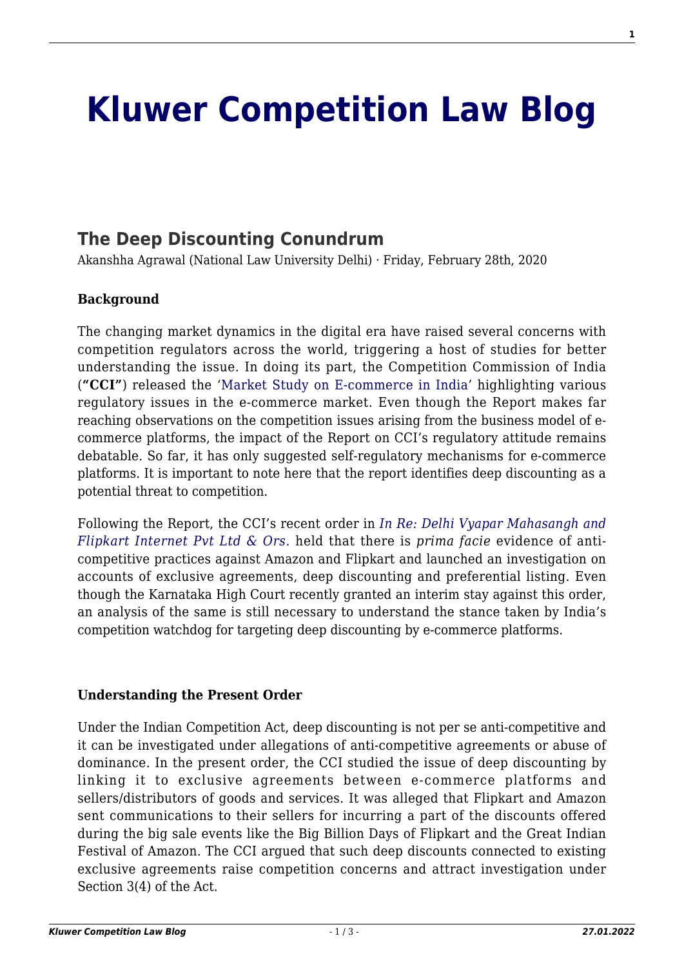# **[Kluwer Competition Law Blog](http://competitionlawblog.kluwercompetitionlaw.com/)**

## **[The Deep Discounting Conundrum](http://competitionlawblog.kluwercompetitionlaw.com/2020/02/28/the-deep-discounting-conundrum/)**

Akanshha Agrawal (National Law University Delhi) · Friday, February 28th, 2020

#### **Background**

The changing market dynamics in the digital era have raised several concerns with competition regulators across the world, triggering a host of studies for better understanding the issue. In doing its part, the Competition Commission of India (**"CCI"**) released the '[Market Study on E-commerce in India'](https://www.cci.gov.in/sites/default/files/whats_newdocument/Market-study-on-e-Commerce-in-India.pdf) highlighting various regulatory issues in the e-commerce market. Even though the Report makes far reaching observations on the competition issues arising from the business model of ecommerce platforms, the impact of the Report on CCI's regulatory attitude remains debatable. So far, it has only suggested self-regulatory mechanisms for e-commerce platforms. It is important to note here that the report identifies deep discounting as a potential threat to competition.

Following the Report, the CCI's recent order in *[In Re: Delhi Vyapar Mahasangh and](https://www.cci.gov.in/sites/default/files/40-of-2019.pdf) [Flipkart Internet Pvt Ltd & Ors.](https://www.cci.gov.in/sites/default/files/40-of-2019.pdf)* held that there is *prima facie* evidence of anticompetitive practices against Amazon and Flipkart and launched an investigation on accounts of exclusive agreements, deep discounting and preferential listing. Even though the Karnataka High Court recently granted an interim stay against this order, an analysis of the same is still necessary to understand the stance taken by India's competition watchdog for targeting deep discounting by e-commerce platforms.

#### **Understanding the Present Order**

Under the Indian Competition Act, deep discounting is not per se anti-competitive and it can be investigated under allegations of anti-competitive agreements or abuse of dominance. In the present order, the CCI studied the issue of deep discounting by linking it to exclusive agreements between e-commerce platforms and sellers/distributors of goods and services. It was alleged that Flipkart and Amazon sent communications to their sellers for incurring a part of the discounts offered during the big sale events like the Big Billion Days of Flipkart and the Great Indian Festival of Amazon. The CCI argued that such deep discounts connected to existing exclusive agreements raise competition concerns and attract investigation under Section 3(4) of the Act.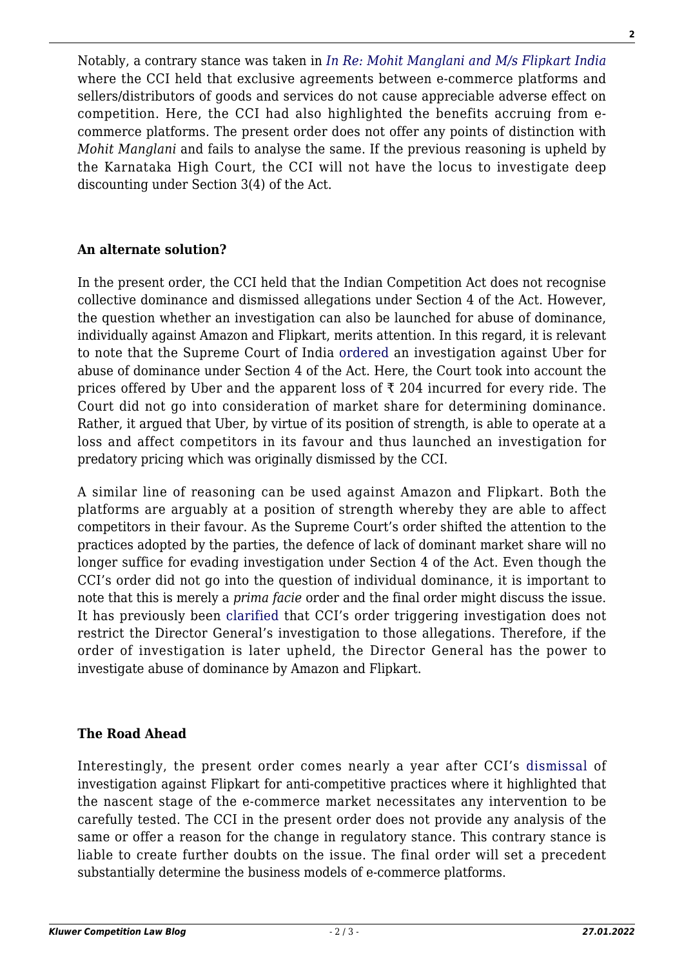Notably, a contrary stance was taken in *[In Re: Mohit Manglani and M/s Flipkart India](https://www.cci.gov.in/sites/default/files/802014.pdf)* where the CCI held that exclusive agreements between e-commerce platforms and sellers/distributors of goods and services do not cause appreciable adverse effect on competition. Here, the CCI had also highlighted the benefits accruing from ecommerce platforms. The present order does not offer any points of distinction with *Mohit Manglani* and fails to analyse the same. If the previous reasoning is upheld by the Karnataka High Court, the CCI will not have the locus to investigate deep discounting under Section 3(4) of the Act.

#### **An alternate solution?**

In the present order, the CCI held that the Indian Competition Act does not recognise collective dominance and dismissed allegations under Section 4 of the Act. However, the question whether an investigation can also be launched for abuse of dominance, individually against Amazon and Flipkart, merits attention. In this regard, it is relevant to note that the Supreme Court of India [ordered](https://main.sci.gov.in/supremecourt/2017/2103/2103_2017_5_2_16524_Judgement_03-Sep-2019.pdf) an investigation against Uber for abuse of dominance under Section 4 of the Act. Here, the Court took into account the prices offered by Uber and the apparent loss of  $\bar{\tau}$  204 incurred for every ride. The Court did not go into consideration of market share for determining dominance. Rather, it argued that Uber, by virtue of its position of strength, is able to operate at a loss and affect competitors in its favour and thus launched an investigation for predatory pricing which was originally dismissed by the CCI.

A similar line of reasoning can be used against Amazon and Flipkart. Both the platforms are arguably at a position of strength whereby they are able to affect competitors in their favour. As the Supreme Court's order shifted the attention to the practices adopted by the parties, the defence of lack of dominant market share will no longer suffice for evading investigation under Section 4 of the Act. Even though the CCI's order did not go into the question of individual dominance, it is important to note that this is merely a *prima facie* order and the final order might discuss the issue. It has previously been [clarified](https://indiankanoon.org/doc/864375/) that CCI's order triggering investigation does not restrict the Director General's investigation to those allegations. Therefore, if the order of investigation is later upheld, the Director General has the power to investigate abuse of dominance by Amazon and Flipkart.

### **The Road Ahead**

Interestingly, the present order comes nearly a year after CCI's [dismissal](https://www.cci.gov.in/sites/default/files/20-of-2018.pdf) of investigation against Flipkart for anti-competitive practices where it highlighted that the nascent stage of the e-commerce market necessitates any intervention to be carefully tested. The CCI in the present order does not provide any analysis of the same or offer a reason for the change in regulatory stance. This contrary stance is liable to create further doubts on the issue. The final order will set a precedent substantially determine the business models of e-commerce platforms.